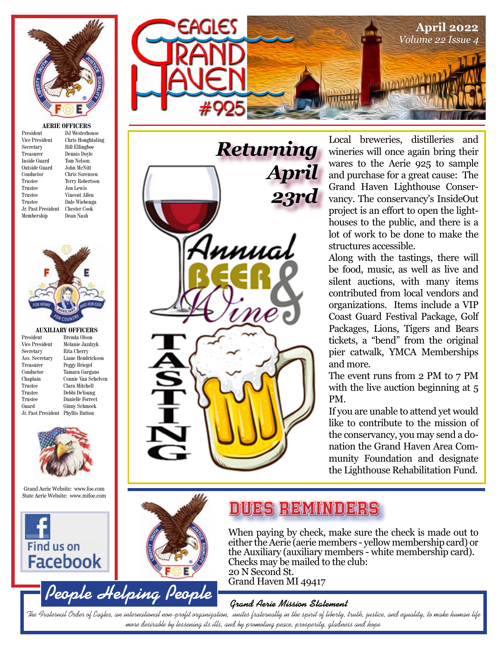

**AERIE OFFICERS**

| President          | DJ.  |
|--------------------|------|
| Vice President     | Chr  |
| Secretary          | Bill |
| Treasurer          | Den  |
| Inside Guard       | Ton  |
| Outside Guard      | Joh  |
| Conductor          | Chr  |
| Trustee            | Ter  |
| Trustee            | Jon. |
| Trustee            | Vin  |
| Trustee            | Dal  |
| Jr. Past President | Che  |
| Membership         | Dea  |
|                    |      |

Westerhouse n Nelson Lewis

ris Houghtaling **Ellingboe**  $n$ is Doyle on McNitt ris Sorensen ry Robertson cent Allen e Wiebenga ster Cook m Nash



## **AUXILIARY OFFICERS**<br>President Brenda Olson

President Brenda Olson<br>Vice President Melanie Jazdz Vice President Melanie Jazdzyk<br>Secretary Rita Cherry Rita Cherry Ass. Secretary Liane Hendrickson Treasurer Peggy Briegel<br>Conductor Tamara Garga Conductor Tamara Gargano Connie Van Schelven Trustee Clara Mitchell Trustee Debbi DeYoung Trustee Danielle Forrect<br>Guard Ginny Schmock Ginny Schmock Jr. Past President Phyllis Button



Grand Aerie Website: www.foe.com State Aerie Website: www.mifoe.com







Local breweries, distilleries and wineries will once again bring their wares to the Aerie 925 to sample and purchase for a great cause: The Grand Haven Lighthouse Conservancy. The conservancy's InsideOut project is an effort to open the lighthouses to the public, and there is a lot of work to be done to make the structures accessible.

Along with the tastings, there will be food, music, as well as live and silent auctions, with many items contributed from local vendors and organizations. Items include a VIP Coast Guard Festival Package, Golf Packages, Lions, Tigers and Bears tickets, a "bend" from the original pier catwalk, YMCA Memberships and more.

The event runs from 2 PM to 7 PM with the live auction beginning at 5 PM.

If you are unable to attend yet would like to contribute to the mission of the conservancy, you may send a donation the Grand Haven Area Community Foundation and designate the Lighthouse Rehabilitation Fund.



## Dues Reminders

When paying by check, make sure the check is made out to either the Aerie (aerie members - yellow membership card) or the Auxiliary (auxiliary members - white membership card). Checks may be mailed to the club: 20 N Second St. Grand Haven MI 49417

#### **Grand Aerie Mission Statement**

The Fraternal Order of Eagles, an international non-profit organization, unites fraternally in the spirit of liberty, truth, justice, and equality, to make human life more desirable by lessening its ills, and by promoting peace, prosperity, gladness and hope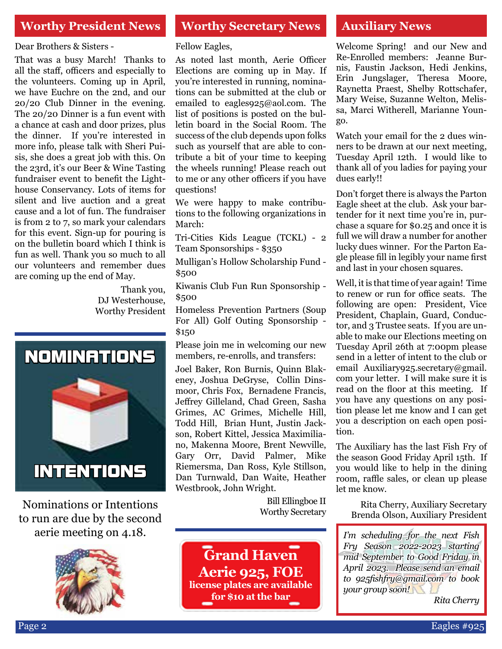### **Worthy President News Worthy Secretary News Auxiliary News**

Dear Brothers & Sisters -

That was a busy March! Thanks to all the staff, officers and especially to the volunteers. Coming up in April, we have Euchre on the 2nd, and our 20/20 Club Dinner in the evening. The 20/20 Dinner is a fun event with a chance at cash and door prizes, plus the dinner. If you're interested in more info, please talk with Sheri Puisis, she does a great job with this. On the 23rd, it's our Beer & Wine Tasting fundraiser event to benefit the Lighthouse Conservancy. Lots of items for silent and live auction and a great cause and a lot of fun. The fundraiser is from 2 to 7, so mark your calendars for this event. Sign-up for pouring is on the bulletin board which I think is fun as well. Thank you so much to all our volunteers and remember dues are coming up the end of May.

> Thank you, DJ Westerhouse, Worthy President



Nominations or Intentions to run are due by the second aerie meeting on 4.18.



Fellow Eagles,

As noted last month, Aerie Officer Elections are coming up in May. If you're interested in running, nominations can be submitted at the club or emailed to eagles925@aol.com. The list of positions is posted on the bulletin board in the Social Room. The success of the club depends upon folks such as yourself that are able to contribute a bit of your time to keeping the wheels running! Please reach out to me or any other officers if you have questions!

We were happy to make contributions to the following organizations in March:

Tri-Cities Kids League (TCKL) - 2 Team Sponsorships - \$350

Mulligan's Hollow Scholarship Fund - \$500

Kiwanis Club Fun Run Sponsorship - \$500

Homeless Prevention Partners (Soup For All) Golf Outing Sponsorship - \$150

Please join me in welcoming our new members, re-enrolls, and transfers:

Joel Baker, Ron Burnis, Quinn Blakeney, Joshua DeGryse, Collin Dinsmoor, Chris Fox, Bernadene Francis, Jeffrey Gilleland, Chad Green, Sasha Grimes, AC Grimes, Michelle Hill, Todd Hill, Brian Hunt, Justin Jackson, Robert Kittel, Jessica Maximiliano, Makenna Moore, Brent Newville, Gary Orr, David Palmer, Mike Riemersma, Dan Ross, Kyle Stillson, Dan Turnwald, Dan Waite, Heather Westbrook, John Wright.

> Bill Ellingboe II Worthy Secretary

**Grand Haven Aerie 925, FOE license plates are available for \$10 at the bar**

Welcome Spring! and our New and Re-Enrolled members: Jeanne Burnis, Faustin Jackson, Hedi Jenkins, Erin Jungslager, Theresa Moore, Raynetta Praest, Shelby Rottschafer, Mary Weise, Suzanne Welton, Melissa, Marci Witherell, Marianne Youngo.

Watch your email for the 2 dues winners to be drawn at our next meeting, Tuesday April 12th. I would like to thank all of you ladies for paying your dues early!!

Don't forget there is always the Parton Eagle sheet at the club. Ask your bartender for it next time you're in, purchase a square for \$0.25 and once it is full we will draw a number for another lucky dues winner. For the Parton Eagle please fill in legibly your name first and last in your chosen squares.

Well, it is that time of year again! Time to renew or run for office seats. The following are open: President, Vice President, Chaplain, Guard, Conductor, and 3 Trustee seats. If you are unable to make our Elections meeting on Tuesday April 26th at 7:00pm please send in a letter of intent to the club or email Auxiliary925.secretary@gmail. com your letter. I will make sure it is read on the floor at this meeting. If you have any questions on any position please let me know and I can get you a description on each open position.

The Auxiliary has the last Fish Fry of the season Good Friday April 15th. If you would like to help in the dining room, raffle sales, or clean up please let me know.

Rita Cherry, Auxiliary Secretary Brenda Olson, Auxiliary President

*I'm scheduling for the next Fish Fry Season 2022-2023 starting mid September to Good Friday in April 2023. Please send an email to 925fishfry@gmail.com to book your group soon!*

*Rita Cherry*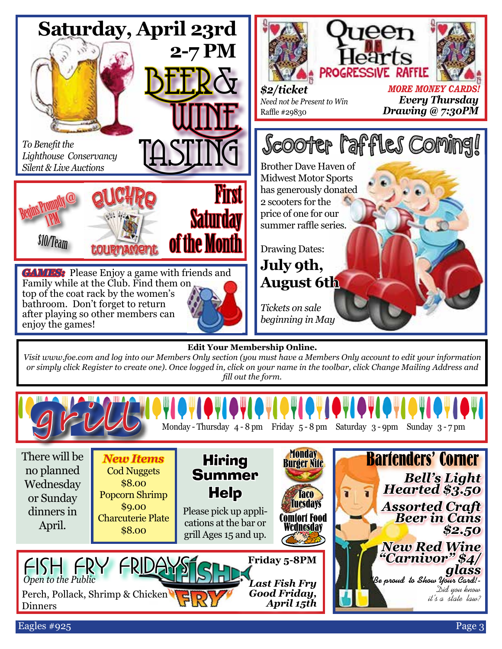